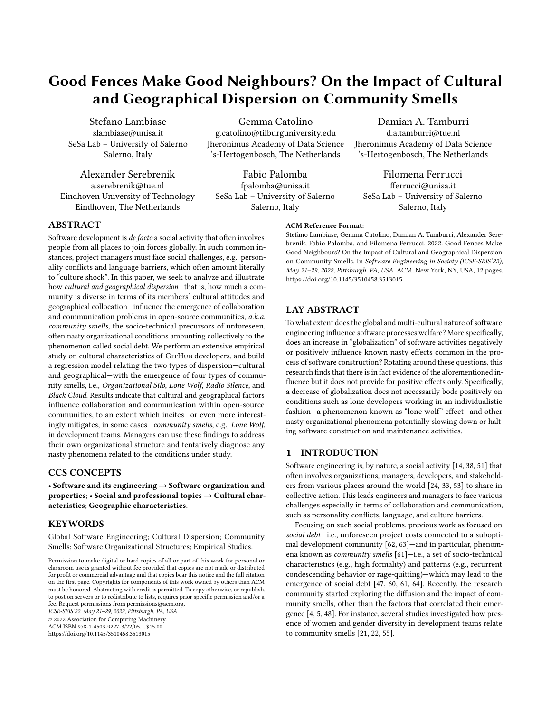# Good Fences Make Good Neighbours? On the Impact of Cultural and Geographical Dispersion on Community Smells

Stefano Lambiase slambiase@unisa.it SeSa Lab – University of Salerno Salerno, Italy

Alexander Serebrenik a.serebrenik@tue.nl Eindhoven University of Technology Eindhoven, The Netherlands

Gemma Catolino

g.catolino@tilburguniversity.edu Jheronimus Academy of Data Science 's-Hertogenbosch, The Netherlands

Fabio Palomba fpalomba@unisa.it SeSa Lab – University of Salerno Salerno, Italy

Damian A. Tamburri d.a.tamburri@tue.nl

Jheronimus Academy of Data Science 's-Hertogenbosch, The Netherlands

Filomena Ferrucci fferrucci@unisa.it SeSa Lab – University of Salerno Salerno, Italy

## ABSTRACT

Software development is de facto a social activity that often involves people from all places to join forces globally. In such common instances, project managers must face social challenges, e.g., personality conflicts and language barriers, which often amount literally to "culture shock". In this paper, we seek to analyze and illustrate how cultural and geographical dispersion—that is, how much a community is diverse in terms of its members' cultural attitudes and geographical collocation—influence the emergence of collaboration and communication problems in open-source communities, a.k.a. community smells, the socio-technical precursors of unforeseen, often nasty organizational conditions amounting collectively to the phenomenon called social debt. We perform an extensive empirical study on cultural characteristics of GITHUB developers, and build a regression model relating the two types of dispersion—cultural and geographical—with the emergence of four types of community smells, i.e., Organizational Silo, Lone Wolf, Radio Silence, and Black Cloud. Results indicate that cultural and geographical factors influence collaboration and communication within open-source communities, to an extent which incites—or even more interestingly mitigates, in some cases—community smells, e.g., Lone Wolf, in development teams. Managers can use these findings to address their own organizational structure and tentatively diagnose any nasty phenomena related to the conditions under study.

## CCS CONCEPTS

• Software and its engineering  $\rightarrow$  Software organization and properties;  $\cdot$  Social and professional topics  $\rightarrow$  Cultural characteristics; Geographic characteristics.

## KEYWORDS

Global Software Engineering; Cultural Dispersion; Community Smells; Software Organizational Structures; Empirical Studies.

ICSE-SEIS'22, May 21–29, 2022, Pittsburgh, PA, USA

© 2022 Association for Computing Machinery. ACM ISBN 978-1-4503-9227-3/22/05. . . \$15.00

<https://doi.org/10.1145/3510458.3513015>

<https://doi.org/10.1145/3510458.3513015>

ACM Reference Format:

## LAY ABSTRACT

To what extent does the global and multi-cultural nature of software engineering influence software processes welfare? More specifically, does an increase in "globalization" of software activities negatively or positively influence known nasty effects common in the process of software construction? Rotating around these questions, this research finds that there is in fact evidence of the aforementioned influence but it does not provide for positive effects only. Specifically, a decrease of globalization does not necessarily bode positively on conditions such as lone developers working in an individualistic fashion—a phenomenon known as "lone wolf" effect—and other nasty organizational phenomena potentially slowing down or halting software construction and maintenance activities.

Stefano Lambiase, Gemma Catolino, Damian A. Tamburri, Alexander Serebrenik, Fabio Palomba, and Filomena Ferrucci. 2022. Good Fences Make Good Neighbours? On the Impact of Cultural and Geographical Dispersion on Community Smells. In Software Engineering in Society (ICSE-SEIS'22), May 21–29, 2022, Pittsburgh, PA, USA. ACM, New York, NY, USA, [12](#page-11-0) pages.

## 1 INTRODUCTION

Software engineering is, by nature, a social activity [\[14,](#page-10-0) [38,](#page-10-1) [51\]](#page-11-1) that often involves organizations, managers, developers, and stakeholders from various places around the world [\[24,](#page-10-2) [33,](#page-10-3) [53\]](#page-11-2) to share in collective action. This leads engineers and managers to face various challenges especially in terms of collaboration and communication, such as personality conflicts, language, and culture barriers.

Focusing on such social problems, previous work as focused on social debt-i.e., unforeseen project costs connected to a suboptimal development community [\[62,](#page-11-3) [63\]](#page-11-4)—and in particular, phenomena known as community smells [\[61\]](#page-11-5)—i.e., a set of socio-technical characteristics (e.g., high formality) and patterns (e.g., recurrent condescending behavior or rage-quitting)—which may lead to the emergence of social debt [\[47,](#page-11-6) [60,](#page-11-7) [61,](#page-11-5) [64\]](#page-11-8). Recently, the research community started exploring the diffusion and the impact of community smells, other than the factors that correlated their emergence [\[4,](#page-10-4) [5,](#page-10-5) [48\]](#page-11-9). For instance, several studies investigated how presence of women and gender diversity in development teams relate to community smells [\[21,](#page-10-6) [22,](#page-10-7) [55\]](#page-11-10).

Permission to make digital or hard copies of all or part of this work for personal or classroom use is granted without fee provided that copies are not made or distributed for profit or commercial advantage and that copies bear this notice and the full citation on the first page. Copyrights for components of this work owned by others than ACM must be honored. Abstracting with credit is permitted. To copy otherwise, or republish, to post on servers or to redistribute to lists, requires prior specific permission and/or a fee. Request permissions from permissions@acm.org.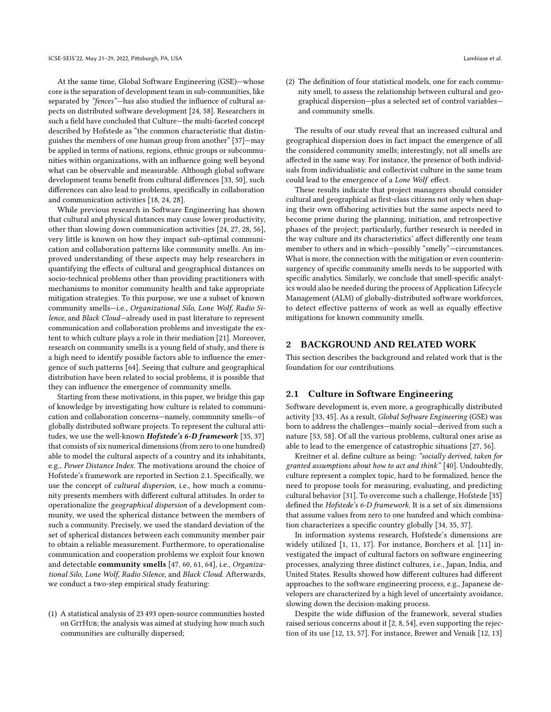At the same time, Global Software Engineering (GSE)—whose core is the separation of development team in sub-communities, like separated by "fences"—has also studied the influence of cultural aspects on distributed software development [\[24,](#page-10-2) [58\]](#page-11-11). Researchers in such a field have concluded that Culture—the multi-faceted concept described by Hofstede as "the common characteristic that distinguishes the members of one human group from another" [\[37\]](#page-10-8)—may be applied in terms of nations, regions, ethnic groups or subcommunities within organizations, with an influence going well beyond what can be observable and measurable. Although global software development teams benefit from cultural differences [\[33,](#page-10-3) [50\]](#page-11-12), such differences can also lead to problems, specifically in collaboration and communication activities [\[18,](#page-10-9) [24,](#page-10-2) [28\]](#page-10-10).

While previous research in Software Engineering has shown that cultural and physical distances may cause lower productivity, other than slowing down communication activities [\[24,](#page-10-2) [27,](#page-10-11) [28,](#page-10-10) [56\]](#page-11-13), very little is known on how they impact sub-optimal communication and collaboration patterns like community smells. An improved understanding of these aspects may help researchers in quantifying the effects of cultural and geographical distances on socio-technical problems other than providing practitioners with mechanisms to monitor community health and take appropriate mitigation strategies. To this purpose, we use a subset of known community smells—i.e., Organizational Silo, Lone Wolf, Radio Silence, and Black Cloud—already used in past literature to represent communication and collaboration problems and investigate the extent to which culture plays a role in their mediation [\[21\]](#page-10-6). Moreover, research on community smells is a young field of study, and there is a high need to identify possible factors able to influence the emergence of such patterns [\[64\]](#page-11-8). Seeing that culture and geographical distribution have been related to social problems, it is possible that they can influence the emergence of community smells.

Starting from these motivations, in this paper, we bridge this gap of knowledge by investigating how culture is related to communication and collaboration concerns—namely, community smells—of globally distributed software projects. To represent the cultural atti-tudes, we use the well-known Hofstede's 6-D framework [\[35,](#page-10-12) [37\]](#page-10-8) that consists of six numerical dimensions (from zero to one hundred) able to model the cultural aspects of a country and its inhabitants, e.g., Power Distance Index. The motivations around the choice of Hofstede's framework are reported in Section [2.1.](#page-1-0) Specifically, we use the concept of cultural dispersion, i.e., how much a community presents members with different cultural attitudes. In order to operationalize the geographical dispersion of a development community, we used the spherical distance between the members of such a community. Precisely, we used the standard deviation of the set of spherical distances between each community member pair to obtain a reliable measurement. Furthermore, to operationalise communication and cooperation problems we exploit four known and detectable community smells [\[47,](#page-11-6) [60,](#page-11-7) [61,](#page-11-5) [64\]](#page-11-8), i.e., Organizational Silo, Lone Wolf, Radio Silence, and Black Cloud. Afterwards, we conduct a two-step empirical study featuring:

(1) A statistical analysis of 23 493 open-source communities hosted on GITHUB; the analysis was aimed at studying how much such communities are culturally dispersed;

(2) The definition of four statistical models, one for each community smell, to assess the relationship between cultural and geographical dispersion—plus a selected set of control variables and community smells.

The results of our study reveal that an increased cultural and geographical dispersion does in fact impact the emergence of all the considered community smells; interestingly, not all smells are affected in the same way. For instance, the presence of both individuals from individualistic and collectivist culture in the same team could lead to the emergence of a Lone Wolf effect.

These results indicate that project managers should consider cultural and geographical as first-class citizens not only when shaping their own offshoring activities but the same aspects need to become prime during the planning, initiation, and retrospective phases of the project; particularly, further research is needed in the way culture and its characteristics' affect differently one team member to others and in which—possibly "smelly"—circumstances. What is more, the connection with the mitigation or even counterinsurgency of specific community smells needs to be supported with specific analytics. Similarly, we conclude that smell-specific analytics would also be needed during the process of Application Lifecycle Management (ALM) of globally-distributed software workforces, to detect effective patterns of work as well as equally effective mitigations for known community smells.

## 2 BACKGROUND AND RELATED WORK

This section describes the background and related work that is the foundation for our contributions.

#### <span id="page-1-0"></span>2.1 Culture in Software Engineering

Software development is, even more, a geographically distributed activity [\[33,](#page-10-3) [45\]](#page-11-14). As a result, Global Software Engineering (GSE) was born to address the challenges—mainly social—derived from such a nature [\[53,](#page-11-2) [58\]](#page-11-11). Of all the various problems, cultural ones arise as able to lead to the emergence of catastrophic situations [\[27,](#page-10-11) [56\]](#page-11-13).

Kreitner et al. define culture as being: "socially derived, taken for granted assumptions about how to act and think" [\[40\]](#page-10-13). Undoubtedly, culture represent a complex topic, hard to be formalized, hence the need to propose tools for measuring, evaluating, and predicting cultural behavior [\[31\]](#page-10-14). To overcome such a challenge, Hofstede [\[35\]](#page-10-12) defined the Hofstede's 6-D framework. It is a set of six dimensions that assume values from zero to one hundred and which combination characterizes a specific country globally [\[34,](#page-10-15) [35,](#page-10-12) [37\]](#page-10-8).

In information systems research, Hofstede's dimensions are widely utilized [\[1,](#page-10-16) [11,](#page-10-17) [17\]](#page-10-18). For instance, Borchers et al. [\[11\]](#page-10-17) investigated the impact of cultural factors on software engineering processes, analyzing three distinct cultures, i.e., Japan, India, and United States. Results showed how different cultures had different approaches to the software engineering process, e.g., Japanese developers are characterized by a high level of uncertainty avoidance, slowing down the decision-making process.

Despite the wide diffusion of the framework, several studies raised serious concerns about it [\[2,](#page-10-19) [8,](#page-10-20) [54\]](#page-11-15), even supporting the rejection of its use [\[12,](#page-10-21) [13,](#page-10-22) [57\]](#page-11-16). For instance, Brewer and Venaik [\[12,](#page-10-21) [13\]](#page-10-22)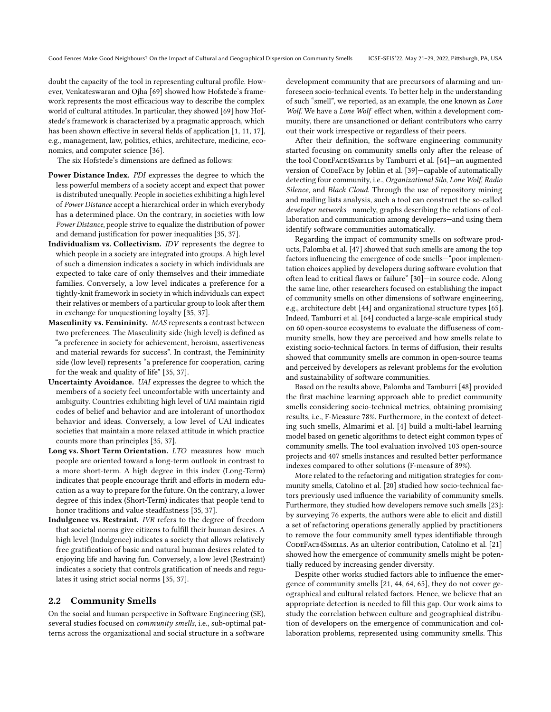doubt the capacity of the tool in representing cultural profile. However, Venkateswaran and Ojha [\[69\]](#page-11-17) showed how Hofstede's framework represents the most efficacious way to describe the complex world of cultural attitudes. In particular, they showed [\[69\]](#page-11-17) how Hofstede's framework is characterized by a pragmatic approach, which has been shown effective in several fields of application [\[1,](#page-10-16) [11,](#page-10-17) [17\]](#page-10-18), e.g., management, law, politics, ethics, architecture, medicine, economics, and computer science [\[36\]](#page-10-23).

The six Hofstede's dimensions are defined as follows:

- Power Distance Index. PDI expresses the degree to which the less powerful members of a society accept and expect that power is distributed unequally. People in societies exhibiting a high level of Power Distance accept a hierarchical order in which everybody has a determined place. On the contrary, in societies with low Power Distance, people strive to equalize the distribution of power and demand justification for power inequalities [\[35,](#page-10-12) [37\]](#page-10-8).
- Individualism vs. Collectivism. IDV represents the degree to which people in a society are integrated into groups. A high level of such a dimension indicates a society in which individuals are expected to take care of only themselves and their immediate families. Conversely, a low level indicates a preference for a tightly-knit framework in society in which individuals can expect their relatives or members of a particular group to look after them in exchange for unquestioning loyalty [\[35,](#page-10-12) [37\]](#page-10-8).
- Masculinity vs. Femininity. MAS represents a contrast between two preferences. The Masculinity side (high level) is defined as "a preference in society for achievement, heroism, assertiveness and material rewards for success". In contrast, the Femininity side (low level) represents "a preference for cooperation, caring for the weak and quality of life" [\[35,](#page-10-12) [37\]](#page-10-8).
- Uncertainty Avoidance. UAI expresses the degree to which the members of a society feel uncomfortable with uncertainty and ambiguity. Countries exhibiting high level of UAI maintain rigid codes of belief and behavior and are intolerant of unorthodox behavior and ideas. Conversely, a low level of UAI indicates societies that maintain a more relaxed attitude in which practice counts more than principles [\[35,](#page-10-12) [37\]](#page-10-8).
- Long vs. Short Term Orientation. LTO measures how much people are oriented toward a long-term outlook in contrast to a more short-term. A high degree in this index (Long-Term) indicates that people encourage thrift and efforts in modern education as a way to prepare for the future. On the contrary, a lower degree of this index (Short-Term) indicates that people tend to honor traditions and value steadfastness [\[35,](#page-10-12) [37\]](#page-10-8).
- Indulgence vs. Restraint. IVR refers to the degree of freedom that societal norms give citizens to fulfill their human desires. A high level (Indulgence) indicates a society that allows relatively free gratification of basic and natural human desires related to enjoying life and having fun. Conversely, a low level (Restraint) indicates a society that controls gratification of needs and regulates it using strict social norms [\[35,](#page-10-12) [37\]](#page-10-8).

## 2.2 Community Smells

On the social and human perspective in Software Engineering (SE), several studies focused on community smells, i.e., sub-optimal patterns across the organizational and social structure in a software

development community that are precursors of alarming and unforeseen socio-technical events. To better help in the understanding of such "smell", we reported, as an example, the one known as Lone Wolf. We have a Lone Wolf effect when, within a development community, there are unsanctioned or defiant contributors who carry out their work irrespective or regardless of their peers.

After their definition, the software engineering community started focusing on community smells only after the release of the tool CODEFACE4SMELLS by [Tamburri et al.](#page-11-8) [\[64\]](#page-11-8)-an augmented version of CODEFACE by [Joblin et al.](#page-10-24) [\[39\]](#page-10-24)-capable of automatically detecting four community, i.e., Organizational Silo, Lone Wolf, Radio Silence, and Black Cloud. Through the use of repository mining and mailing lists analysis, such a tool can construct the so-called developer networks—namely, graphs describing the relations of collaboration and communication among developers—and using them identify software communities automatically.

Regarding the impact of community smells on software products, [Palomba et al.](#page-11-6) [\[47\]](#page-11-6) showed that such smells are among the top factors influencing the emergence of code smells—"poor implementation choices applied by developers during software evolution that often lead to critical flaws or failure" [\[30\]](#page-10-25)—in source code. Along the same line, other researchers focused on establishing the impact of community smells on other dimensions of software engineering, e.g., architecture debt [\[44\]](#page-11-18) and organizational structure types [\[65\]](#page-11-19). Indeed, [Tamburri et al.](#page-11-8) [\[64\]](#page-11-8) conducted a large-scale empirical study on 60 open-source ecosystems to evaluate the diffuseness of community smells, how they are perceived and how smells relate to existing socio-technical factors. In terms of diffusion, their results showed that community smells are common in open-source teams and perceived by developers as relevant problems for the evolution and sustainability of software communities.

Based on the results above, [Palomba and Tamburri](#page-11-9) [\[48\]](#page-11-9) provided the first machine learning approach able to predict community smells considering socio-technical metrics, obtaining promising results, i.e., F-Measure 78%. Furthermore, in the context of detecting such smells, [Almarimi et al.](#page-10-4) [\[4\]](#page-10-4) build a multi-label learning model based on genetic algorithms to detect eight common types of community smells. The tool evaluation involved 103 open-source projects and 407 smells instances and resulted better performance indexes compared to other solutions (F-measure of 89%).

More related to the refactoring and mitigation strategies for community smells, Catolino et al. [\[20\]](#page-10-26) studied how socio-technical factors previously used influence the variability of community smells. Furthermore, they studied how developers remove such smells [\[23\]](#page-10-27): by surveying 76 experts, the authors were able to elicit and distill a set of refactoring operations generally applied by practitioners to remove the four community smell types identifiable through CODEFACE4SMELLS. As an ulterior contribution, [Catolino et al.](#page-10-6) [\[21\]](#page-10-6) showed how the emergence of community smells might be potentially reduced by increasing gender diversity.

Despite other works studied factors able to influence the emergence of community smells [\[21,](#page-10-6) [44,](#page-11-18) [64,](#page-11-8) [65\]](#page-11-19), they do not cover geographical and cultural related factors. Hence, we believe that an appropriate detection is needed to fill this gap. Our work aims to study the correlation between culture and geographical distribution of developers on the emergence of communication and collaboration problems, represented using community smells. This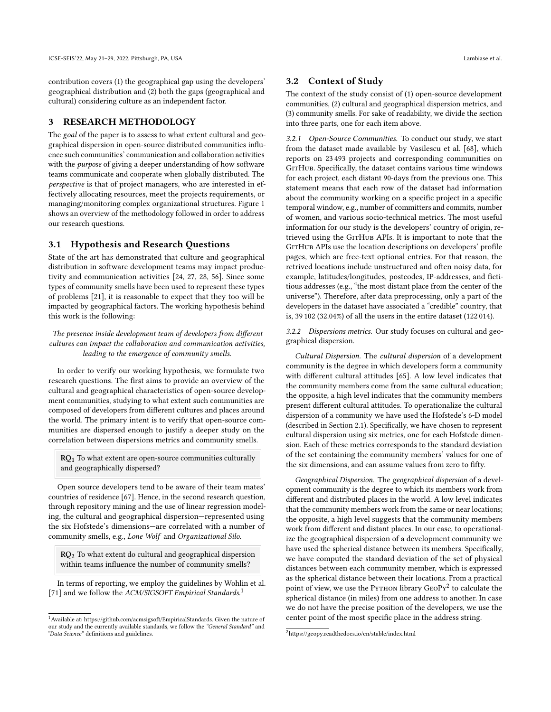contribution covers (1) the geographical gap using the developers' geographical distribution and (2) both the gaps (geographical and cultural) considering culture as an independent factor.

# 3 RESEARCH METHODOLOGY

The goal of the paper is to assess to what extent cultural and geographical dispersion in open-source distributed communities influence such communities' communication and collaboration activities with the *purpose* of giving a deeper understanding of how software teams communicate and cooperate when globally distributed. The perspective is that of project managers, who are interested in effectively allocating resources, meet the projects requirements, or managing/monitoring complex organizational structures. Figure [1](#page-4-0) shows an overview of the methodology followed in order to address our research questions.

### 3.1 Hypothesis and Research Questions

State of the art has demonstrated that culture and geographical distribution in software development teams may impact productivity and communication activities [\[24,](#page-10-2) [27,](#page-10-11) [28,](#page-10-10) [56\]](#page-11-13). Since some types of community smells have been used to represent these types of problems [\[21\]](#page-10-6), it is reasonable to expect that they too will be impacted by geographical factors. The working hypothesis behind this work is the following:

The presence inside development team of developers from different cultures can impact the collaboration and communication activities, leading to the emergence of community smells.

In order to verify our working hypothesis, we formulate two research questions. The first aims to provide an overview of the cultural and geographical characteristics of open-source development communities, studying to what extent such communities are composed of developers from different cultures and places around the world. The primary intent is to verify that open-source communities are dispersed enough to justify a deeper study on the correlation between dispersions metrics and community smells.

 $RQ<sub>1</sub>$  To what extent are open-source communities culturally and geographically dispersed?

Open source developers tend to be aware of their team mates' countries of residence [\[67\]](#page-11-20). Hence, in the second research question, through repository mining and the use of linear regression modeling, the cultural and geographical dispersion—represented using the six Hofstede's dimensions—are correlated with a number of community smells, e.g., Lone Wolf and Organizational Silo.

RQ2 To what extent do cultural and geographical dispersion within teams influence the number of community smells?

In terms of reporting, we employ the guidelines by Wohlin et al. [\[71\]](#page-11-21) and we follow the ACM/SIGSOFT Empirical Standards.<sup>[1](#page-3-0)</sup>

#### 3.2 Context of Study

The context of the study consist of (1) open-source development communities, (2) cultural and geographical dispersion metrics, and (3) community smells. For sake of readability, we divide the section into three parts, one for each item above.

3.2.1 Open-Source Communities. To conduct our study, we start from the dataset made available by [Vasilescu et al.](#page-11-22) [\[68\]](#page-11-22), which reports on 23 493 projects and corresponding communities on GITHUB. Specifically, the dataset contains various time windows for each project, each distant 90-days from the previous one. This statement means that each row of the dataset had information about the community working on a specific project in a specific temporal window, e.g., number of committers and commits, number of women, and various socio-technical metrics. The most useful information for our study is the developers' country of origin, retrieved using the GITHUB APIs. It is important to note that the GITHUB APIs use the location descriptions on developers' profile pages, which are free-text optional entries. For that reason, the retrived locations include unstructured and often noisy data, for example, latitudes/longitudes, postcodes, IP-addresses, and fictitious addresses (e.g., "the most distant place from the center of the universe"). Therefore, after data preprocessing, only a part of the developers in the dataset have associated a "credible" country, that is, 39 102 (32.04%) of all the users in the entire dataset (122 014).

<span id="page-3-2"></span>3.2.2 Dispersions metrics. Our study focuses on cultural and geographical dispersion.

Cultural Dispersion. The cultural dispersion of a development community is the degree in which developers form a community with different cultural attitudes [\[65\]](#page-11-19). A low level indicates that the community members come from the same cultural education; the opposite, a high level indicates that the community members present different cultural attitudes. To operationalize the cultural dispersion of a community we have used the Hofstede's 6-D model (described in Section [2.1\)](#page-1-0). Specifically, we have chosen to represent cultural dispersion using six metrics, one for each Hofstede dimension. Each of these metrics corresponds to the standard deviation of the set containing the community members' values for one of the six dimensions, and can assume values from zero to fifty.

Geographical Dispersion. The geographical dispersion of a development community is the degree to which its members work from different and distributed places in the world. A low level indicates that the community members work from the same or near locations; the opposite, a high level suggests that the community members work from different and distant places. In our case, to operationalize the geographical dispersion of a development community we have used the spherical distance between its members. Specifically, we have computed the standard deviation of the set of physical distances between each community member, which is expressed as the spherical distance between their locations. From a practical point of view, we use the PyTHON library  $\text{GeoPy}^2$  $\text{GeoPy}^2$  to calculate the spherical distance (in miles) from one address to another. In case we do not have the precise position of the developers, we use the center point of the most specific place in the address string.

<span id="page-3-0"></span> $^{\rm 1}$  Available at: [https://github.com/acmsigsoft/EmpiricalStandards.](https://github.com/acmsigsoft/EmpiricalStandards) Given the nature of our study and the currently available standards, we follow the "General Standard" and "Data Science" definitions and guidelines.

<span id="page-3-1"></span><sup>2</sup><https://geopy.readthedocs.io/en/stable/index.html>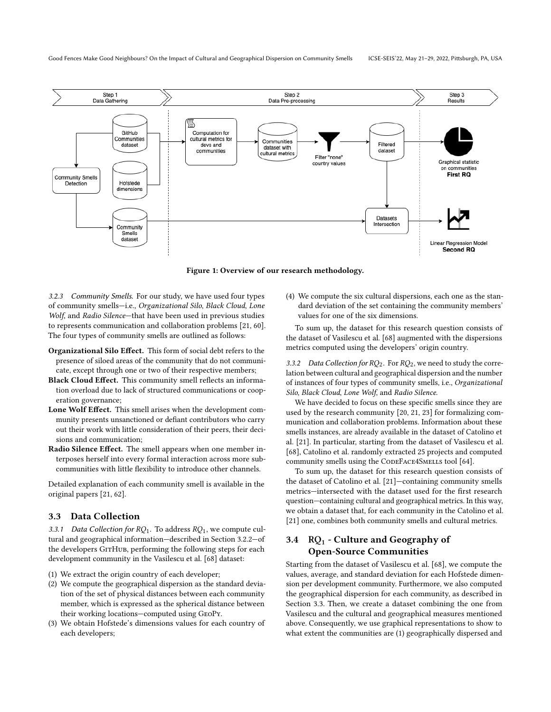Good Fences Make Good Neighbours? On the Impact of Cultural and Geographical Dispersion on Community Smells ICSE-SEIS'22, May 21–29, 2022, Pittsburgh, PA, USA

<span id="page-4-0"></span>

Figure 1: Overview of our research methodology.

3.2.3 Community Smells. For our study, we have used four types of community smells—i.e., Organizational Silo, Black Cloud, Lone Wolf, and Radio Silence—that have been used in previous studies to represents communication and collaboration problems [\[21,](#page-10-6) [60\]](#page-11-7). The four types of community smells are outlined as follows:

- Organizational Silo Effect. This form of social debt refers to the presence of siloed areas of the community that do not communicate, except through one or two of their respective members;
- Black Cloud Effect. This community smell reflects an information overload due to lack of structured communications or cooperation governance;
- Lone Wolf Effect. This smell arises when the development community presents unsanctioned or defiant contributors who carry out their work with little consideration of their peers, their decisions and communication;
- Radio Silence Effect. The smell appears when one member interposes herself into every formal interaction across more subcommunities with little flexibility to introduce other channels.

Detailed explanation of each community smell is available in the original papers [\[21,](#page-10-6) [62\]](#page-11-3).

### <span id="page-4-1"></span>3.3 Data Collection

3.3.1 Data Collection for  $RQ_1$ . To address  $RQ_1$ , we compute cultural and geographical information—described in Section [3.2.2—](#page-3-2)of the developers GITHUB, performing the following steps for each development community in the [Vasilescu et al.](#page-11-22) [\[68\]](#page-11-22) dataset:

- (1) We extract the origin country of each developer;
- (2) We compute the geographical dispersion as the standard deviation of the set of physical distances between each community member, which is expressed as the spherical distance between their working locations—computed using GeoPy.
- (3) We obtain Hofstede's dimensions values for each country of each developers;

(4) We compute the six cultural dispersions, each one as the standard deviation of the set containing the community members' values for one of the six dimensions.

To sum up, the dataset for this research question consists of the dataset of [Vasilescu et al.](#page-11-22) [\[68\]](#page-11-22) augmented with the dispersions metrics computed using the developers' origin country.

<span id="page-4-3"></span>3.3.2 Data Collection for  $RO_2$ . For  $RO_2$ , we need to study the correlation between cultural and geographical dispersion and the number of instances of four types of community smells, i.e., Organizational Silo, Black Cloud, Lone Wolf, and Radio Silence.

We have decided to focus on these specific smells since they are used by the research community [\[20,](#page-10-26) [21,](#page-10-6) [23\]](#page-10-27) for formalizing communication and collaboration problems. Information about these smells instances, are already available in the dataset of Catolino et al. [\[21\]](#page-10-6). In particular, starting from the dataset of Vasilescu et al. [\[68\]](#page-11-22), Catolino et al. randomly extracted 25 projects and computed community smells using the CODEFACE4SMELLS tool [\[64\]](#page-11-8).

To sum up, the dataset for this research question consists of the dataset of [Catolino et al.](#page-10-6) [\[21\]](#page-10-6)—containing community smells metrics—intersected with the dataset used for the first research question—containing cultural and geographical metrics. In this way, we obtain a dataset that, for each community in the [Catolino et al.](#page-10-6) [\[21\]](#page-10-6) one, combines both community smells and cultural metrics.

# <span id="page-4-2"></span>3.4  $\mathbb{R}Q_1$  - Culture and Geography of Open-Source Communities

Starting from the dataset of Vasilescu et al. [\[68\]](#page-11-22), we compute the values, average, and standard deviation for each Hofstede dimension per development community. Furthermore, we also computed the geographical dispersion for each community, as described in Section [3.3.](#page-4-1) Then, we create a dataset combining the one from Vasilescu and the cultural and geographical measures mentioned above. Consequently, we use graphical representations to show to what extent the communities are (1) geographically dispersed and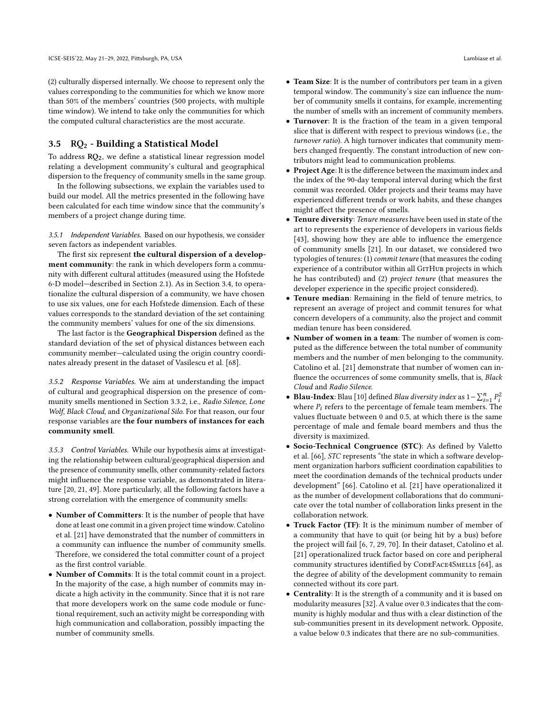(2) culturally dispersed internally. We choose to represent only the values corresponding to the communities for which we know more than 50% of the members' countries (500 projects, with multiple time window). We intend to take only the communities for which the computed cultural characteristics are the most accurate.

#### <span id="page-5-0"></span>3.5  $RQ_2$  - Building a Statistical Model

To address  $RQ_2$ , we define a statistical linear regression model relating a development community's cultural and geographical dispersion to the frequency of community smells in the same group.

In the following subsections, we explain the variables used to build our model. All the metrics presented in the following have been calculated for each time window since that the community's members of a project change during time.

3.5.1 Independent Variables. Based on our hypothesis, we consider seven factors as independent variables.

The first six represent the cultural dispersion of a development community: the rank in which developers form a community with different cultural attitudes (measured using the Hofstede 6-D model—described in Section [2.1\)](#page-1-0). As in Section [3.4,](#page-4-2) to operationalize the cultural dispersion of a community, we have chosen to use six values, one for each Hofstede dimension. Each of these values corresponds to the standard deviation of the set containing the community members' values for one of the six dimensions.

The last factor is the Geographical Dispersion defined as the standard deviation of the set of physical distances between each community member—calculated using the origin country coordinates already present in the dataset of [Vasilescu et al.](#page-11-22) [\[68\]](#page-11-22).

3.5.2 Response Variables. We aim at understanding the impact of cultural and geographical dispersion on the presence of community smells mentioned in Section [3.3.2,](#page-4-3) i.e., Radio Silence, Lone Wolf, Black Cloud, and Organizational Silo. For that reason, our four response variables are the four numbers of instances for each community smell.

3.5.3 Control Variables. While our hypothesis aims at investigating the relationship between cultural/geographical dispersion and the presence of community smells, other community-related factors might influence the response variable, as demonstrated in literature [\[20,](#page-10-26) [21,](#page-10-6) [49\]](#page-11-23). More particularly, all the following factors have a strong correlation with the emergence of community smells:

- Number of Committers: It is the number of people that have done at least one commit in a given project time window. [Catolino](#page-10-6) [et al.](#page-10-6) [\[21\]](#page-10-6) have demonstrated that the number of committers in a community can influence the number of community smells. Therefore, we considered the total committer count of a project as the first control variable.
- Number of Commits: It is the total commit count in a project. In the majority of the case, a high number of commits may indicate a high activity in the community. Since that it is not rare that more developers work on the same code module or functional requirement, such an activity might be corresponding with high communication and collaboration, possibly impacting the number of community smells.
- Team Size: It is the number of contributors per team in a given temporal window. The community's size can influence the number of community smells it contains, for example, incrementing the number of smells with an increment of community members.
- Turnover: It is the fraction of the team in a given temporal slice that is different with respect to previous windows (i.e., the turnover ratio). A high turnover indicates that community members changed frequently. The constant introduction of new contributors might lead to communication problems.
- Project Age: It is the difference between the maximum index and the index of the 90-day temporal interval during which the first commit was recorded. Older projects and their teams may have experienced different trends or work habits, and these changes might affect the presence of smells.
- Tenure diversity: Tenure measures have been used in state of the art to represents the experience of developers in various fields [\[43\]](#page-11-24), showing how they are able to influence the emergence of community smells [\[21\]](#page-10-6). In our dataset, we considered two typologies of tenures: (1) commit tenure (that measures the coding experience of a contributor within all GITHUB projects in which he has contributed) and (2) project tenure (that measures the developer experience in the specific project considered).
- Tenure median: Remaining in the field of tenure metrics, to represent an average of project and commit tenures for what concern developers of a community, also the project and commit median tenure has been considered.
- Number of women in a team: The number of women is computed as the difference between the total number of community members and the number of men belonging to the community. Catolino et al. [\[21\]](#page-10-6) demonstrate that number of women can influence the occurrences of some community smells, that is, Black Cloud and Radio Silence.
- • [Blau](#page-10-28)-Index: Blau [\[10\]](#page-10-28) defined *Blau diversity index* as  $1 \sum_{i=1}^{n} P_i^2$ where  $P_i$  refers to the percentage of female team members. The values fluctuate between 0 and 0.5, at which there is the same percentage of male and female board members and thus the diversity is maximized.
- Socio-Technical Congruence (STC): As defined by [Valetto](#page-11-25) [et al.](#page-11-25) [\[66\]](#page-11-25), STC represents "the state in which a software development organization harbors sufficient coordination capabilities to meet the coordination demands of the technical products under development" [\[66\]](#page-11-25). Catolino et al. [\[21\]](#page-10-6) have operationalized it as the number of development collaborations that do communicate over the total number of collaboration links present in the collaboration network.
- Truck Factor (TF): It is the minimum number of member of a community that have to quit (or being hit by a bus) before the project will fail [\[6,](#page-10-29) [7,](#page-10-30) [29,](#page-10-31) [70\]](#page-11-26). In their dataset, Catolino et al. [\[21\]](#page-10-6) operationalized truck factor based on core and peripheral community structures identified by CODEFACE4SMELLS [\[64\]](#page-11-8), as the degree of ability of the development community to remain connected without its core part.
- Centrality: It is the strength of a community and it is based on modularity measures [\[32\]](#page-10-32). A value over 0.3 indicates that the community is highly modular and thus with a clear distinction of the sub-communities present in its development network. Opposite, a value below 0.3 indicates that there are no sub-communities.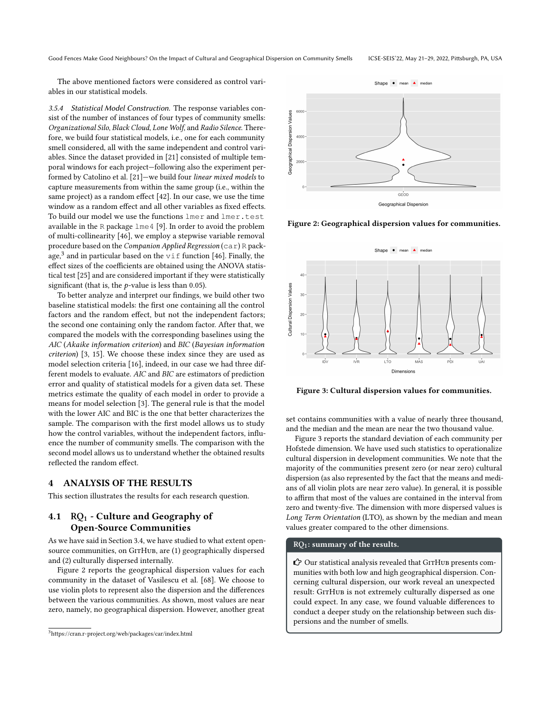Good Fences Make Good Neighbours? On the Impact of Cultural and Geographical Dispersion on Community Smells ICSE-SEIS'22, May 21–29, 2022, Pittsburgh, PA, USA

The above mentioned factors were considered as control variables in our statistical models.

3.5.4 Statistical Model Construction. The response variables consist of the number of instances of four types of community smells: Organizational Silo, Black Cloud, Lone Wolf, and Radio Silence. Therefore, we build four statistical models, i.e., one for each community smell considered, all with the same independent and control variables. Since the dataset provided in [\[21\]](#page-10-6) consisted of multiple temporal windows for each project—following also the experiment performed by Catolino et al. [\[21\]](#page-10-6)—we build four linear mixed models to capture measurements from within the same group (i.e., within the same project) as a random effect [\[42\]](#page-11-27). In our case, we use the time window as a random effect and all other variables as fixed effects. To build our model we use the functions lmer and lmer.test available in the R package lme4 [\[9\]](#page-10-33). In order to avoid the problem of multi-collinearity [\[46\]](#page-11-28), we employ a stepwise variable removal procedure based on the Companion Applied Regression (car) R pack-age,<sup>[3](#page-6-0)</sup> and in particular based on the  $\forall$  if function [\[46\]](#page-11-28). Finally, the effect sizes of the coefficients are obtained using the ANOVA statistical test [\[25\]](#page-10-34) and are considered important if they were statistically significant (that is, the  $p$ -value is less than 0.05).

To better analyze and interpret our findings, we build other two baseline statistical models: the first one containing all the control factors and the random effect, but not the independent factors; the second one containing only the random factor. After that, we compared the models with the corresponding baselines using the AIC (Akaike information criterion) and BIC (Bayesian information criterion) [\[3,](#page-10-35) [15\]](#page-10-36). We choose these index since they are used as model selection criteria [\[16\]](#page-10-37), indeed, in our case we had three different models to evaluate. AIC and BIC are estimators of prediction error and quality of statistical models for a given data set. These metrics estimate the quality of each model in order to provide a means for model selection [\[3\]](#page-10-35). The general rule is that the model with the lower AIC and BIC is the one that better characterizes the sample. The comparison with the first model allows us to study how the control variables, without the independent factors, influence the number of community smells. The comparison with the second model allows us to understand whether the obtained results reflected the random effect.

## 4 ANALYSIS OF THE RESULTS

This section illustrates the results for each research question.

# 4.1  $\mathbb{R}Q_1$  - Culture and Geography of Open-Source Communities

As we have said in Section [3.4,](#page-4-2) we have studied to what extent opensource communities, on GITHUB, are (1) geographically dispersed and (2) culturally dispersed internally.

Figure [2](#page-6-1) reports the geographical dispersion values for each community in the dataset of [Vasilescu et al.](#page-11-22) [\[68\]](#page-11-22). We choose to use violin plots to represent also the dispersion and the differences between the various communities. As shown, most values are near zero, namely, no geographical dispersion. However, another great

<span id="page-6-1"></span>

#### Figure 2: Geographical dispersion values for communities.

<span id="page-6-2"></span>

Figure 3: Cultural dispersion values for communities.

set contains communities with a value of nearly three thousand, and the median and the mean are near the two thousand value.

Figure [3](#page-6-2) reports the standard deviation of each community per Hofstede dimension. We have used such statistics to operationalize cultural dispersion in development communities. We note that the majority of the communities present zero (or near zero) cultural dispersion (as also represented by the fact that the means and medians of all violin plots are near zero value). In general, it is possible to affirm that most of the values are contained in the interval from zero and twenty-five. The dimension with more dispersed values is Long Term Orientation (LTO), as shown by the median and mean values greater compared to the other dimensions.

## RQ<sub>1</sub>: summary of the results.

 $\hat{C}$  Our statistical analysis revealed that GITHUB presents communities with both low and high geographical dispersion. Concerning cultural dispersion, our work reveal an unexpected result: GITHUB is not extremely culturally dispersed as one could expect. In any case, we found valuable differences to conduct a deeper study on the relationship between such dispersions and the number of smells.

<span id="page-6-0"></span><sup>3</sup><https://cran.r-project.org/web/packages/car/index.html>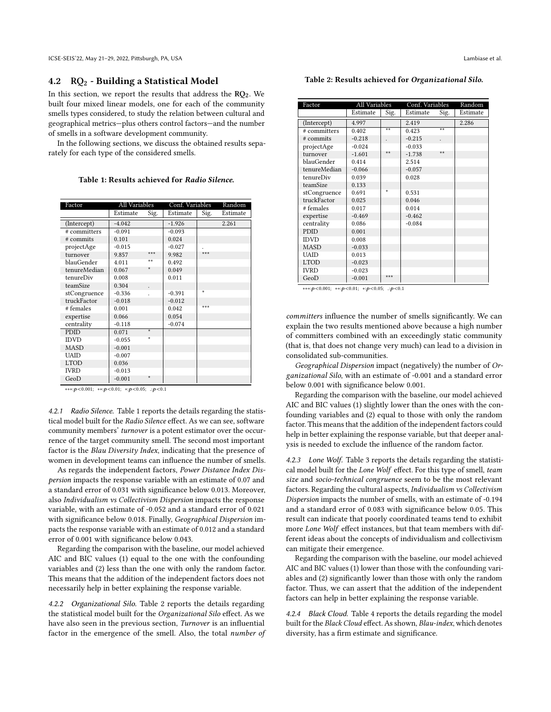ICSE-SEIS'22, May 21–29, 2022, Pittsburgh, PA, USA Lambiase et al.

## 4.2  $RQ_2$  - Building a Statistical Model

In this section, we report the results that address the  $RQ_2$ . We built four mixed linear models, one for each of the community smells types considered, to study the relation between cultural and geographical metrics—plus others control factors—and the number of smells in a software development community.

In the following sections, we discuss the obtained results separately for each type of the considered smells.

Table 1: Results achieved for Radio Silence.

<span id="page-7-0"></span>

| Factor       | All Variables |      | Conf. Variables |       | Random   |
|--------------|---------------|------|-----------------|-------|----------|
|              | Estimate      | Sig. | Estimate        | Sig.  | Estimate |
| (Intercept)  | $-4.042$      |      | $-1.926$        |       | 2.261    |
| # committers | $-0.091$      |      | $-0.093$        |       |          |
| # commits    | 0.101         |      | 0.024           |       |          |
| projectAge   | $-0.015$      |      | $-0.027$        |       |          |
| turnover     | 9.857         | ***  | 9.982           | ***   |          |
| blauGender   | 4.011         | $**$ | 0.492           |       |          |
| tenureMedian | 0.067         | ÷    | 0.049           |       |          |
| tenureDiv    | 0.008         |      | 0.011           |       |          |
| teamSize     | 0.304         |      |                 |       |          |
| stCongruence | $-0.336$      |      | $-0.391$        | ÷     |          |
| truckFactor  | $-0.018$      |      | $-0.012$        |       |          |
| # females    | 0.001         |      | 0.042           | $***$ |          |
| expertise    | 0.066         |      | 0.054           |       |          |
| centrality   | $-0.118$      |      | $-0.074$        |       |          |
| <b>PDID</b>  | 0.071         | ÷    |                 |       |          |
| IDVD         | $-0.055$      | ÷    |                 |       |          |
| <b>MASD</b>  | $-0.001$      |      |                 |       |          |
| <b>UAID</b>  | $-0.007$      |      |                 |       |          |
| <b>LTOD</b>  | 0.036         |      |                 |       |          |
| <b>IVRD</b>  | $-0.013$      |      |                 |       |          |
| GeoD         | $-0.001$      | ÷    |                 |       |          |

∗∗∗:p<0.001; \*\*:p<0.01; \*:p<0.05; .:p<0.1

4.2.1 Radio Silence. Table [1](#page-7-0) reports the details regarding the statistical model built for the Radio Silence effect. As we can see, software community members' turnover is a potent estimator over the occurrence of the target community smell. The second most important factor is the Blau Diversity Index, indicating that the presence of women in development teams can influence the number of smells.

As regards the independent factors, Power Distance Index Dispersion impacts the response variable with an estimate of 0.07 and a standard error of 0.031 with significance below 0.013. Moreover, also Individualism vs Collectivism Dispersion impacts the response variable, with an estimate of -0.052 and a standard error of 0.021 with significance below 0.018. Finally, Geographical Dispersion impacts the response variable with an estimate of 0.012 and a standard error of 0.001 with significance below 0.043.

Regarding the comparison with the baseline, our model achieved AIC and BIC values (1) equal to the one with the confounding variables and (2) less than the one with only the random factor. This means that the addition of the independent factors does not necessarily help in better explaining the response variable.

4.2.2 Organizational Silo. Table [2](#page-7-1) reports the details regarding the statistical model built for the Organizational Silo effect. As we have also seen in the previous section, Turnover is an influential factor in the emergence of the smell. Also, the total number of

<span id="page-7-1"></span>

| Factor       | All Variables |       | Conf. Variables |      | Random   |
|--------------|---------------|-------|-----------------|------|----------|
|              | Estimate      | Sig.  | Estimate        | Sig. | Estimate |
| (Intercept)  | 4.997         |       | 2.419           |      | 2.286    |
| # committers | 0.402         | $**$  | 0.423           | $**$ |          |
| # commits    | $-0.218$      |       | $-0.215$        |      |          |
| projectAge   | $-0.024$      |       | $-0.033$        |      |          |
| turnover     | $-1.601$      | **    | $-1.738$        | **   |          |
| blauGender   | 0.414         |       | 2.514           |      |          |
| tenureMedian | $-0.066$      |       | $-0.057$        |      |          |
| tenureDiv    | 0.039         |       | 0.028           |      |          |
| teamSize     | 0.133         |       |                 |      |          |
| stCongruence | 0.691         |       | 0.531           |      |          |
| truckFactor  | 0.025         |       | 0.046           |      |          |
| # females    | 0.017         |       | 0.014           |      |          |
| expertise    | $-0.469$      |       | $-0.462$        |      |          |
| centrality   | 0.086         |       | $-0.084$        |      |          |
| <b>PDID</b>  | 0.001         |       |                 |      |          |
| <b>IDVD</b>  | 0.008         |       |                 |      |          |
| <b>MASD</b>  | $-0.033$      |       |                 |      |          |
| <b>UAID</b>  | 0.013         |       |                 |      |          |
| <b>LTOD</b>  | $-0.023$      |       |                 |      |          |
| <b>IVRD</b>  | $-0.023$      |       |                 |      |          |
| GeoD         | $-0.001$      | ی ی ی |                 |      |          |

∗∗∗:<0.001; ∗∗:<0.01; ∗:<0.05; .:<0.1

committers influence the number of smells significantly. We can explain the two results mentioned above because a high number of committers combined with an exceedingly static community (that is, that does not change very much) can lead to a division in consolidated sub-communities.

Geographical Dispersion impact (negatively) the number of Organizational Silo, with an estimate of -0.001 and a standard error below 0.001 with significance below 0.001.

Regarding the comparison with the baseline, our model achieved AIC and BIC values (1) slightly lower than the ones with the confounding variables and (2) equal to those with only the random factor. This means that the addition of the independent factors could help in better explaining the response variable, but that deeper analysis is needed to exclude the influence of the random factor.

4.2.3 Lone Wolf. Table [3](#page-8-0) reports the details regarding the statistical model built for the Lone Wolf effect. For this type of smell, team size and socio-technical congruence seem to be the most relevant factors. Regarding the cultural aspects, Individualism vs Collectivism Dispersion impacts the number of smells, with an estimate of -0.194 and a standard error of 0.083 with significance below 0.05. This result can indicate that poorly coordinated teams tend to exhibit more Lone Wolf effect instances, but that team members with different ideas about the concepts of individualism and collectivism can mitigate their emergence.

Regarding the comparison with the baseline, our model achieved AIC and BIC values (1) lower than those with the confounding variables and (2) significantly lower than those with only the random factor. Thus, we can assert that the addition of the independent factors can help in better explaining the response variable.

4.2.4 Black Cloud. Table [4](#page-8-1) reports the details regarding the model built for the Black Cloud effect. As shown, Blau-index, which denotes diversity, has a firm estimate and significance.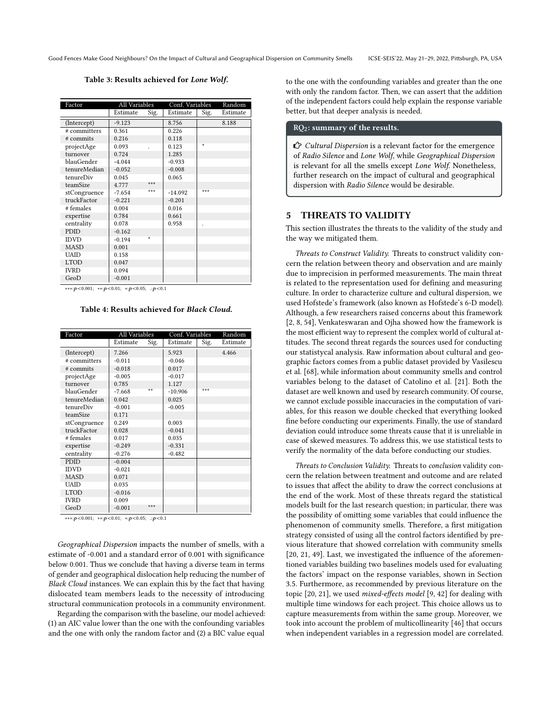<span id="page-8-0"></span>Good Fences Make Good Neighbours? On the Impact of Cultural and Geographical Dispersion on Community Smells ICSE-SEIS'22, May 21–29, 2022, Pittsburgh, PA, USA

Table 3: Results achieved for Lone Wolf.

| Factor       | All Variables |      | Conf. Variables |      | Random   |
|--------------|---------------|------|-----------------|------|----------|
|              | Estimate      | Sig. | Estimate        | Sig. | Estimate |
| (Intercept)  | $-9.123$      |      | 8.756           |      | 8.188    |
| # committers | 0.361         |      | 0.226           |      |          |
| # commits    | 0.216         |      | 0.118           |      |          |
| projectAge   | 0.093         |      | 0.123           | ÷    |          |
| turnover     | 0.724         |      | 1.285           |      |          |
| blauGender   | $-4.044$      |      | $-0.933$        |      |          |
| tenureMedian | $-0.052$      |      | $-0.008$        |      |          |
| tenureDiv    | 0.045         |      | 0.065           |      |          |
| teamSize     | 4.777         | ***  |                 |      |          |
| stCongruence | $-7.654$      | ***  | $-14.092$       | ***  |          |
| truckFactor  | $-0.221$      |      | $-0.201$        |      |          |
| # females    | 0.004         |      | 0.016           |      |          |
| expertise    | 0.784         |      | 0.661           |      |          |
| centrality   | 0.078         |      | 0.958           |      |          |
| PDID         | $-0.162$      |      |                 |      |          |
| <b>IDVD</b>  | $-0.194$      | ÷    |                 |      |          |
| <b>MASD</b>  | 0.001         |      |                 |      |          |
| <b>UAID</b>  | 0.158         |      |                 |      |          |
| <b>LTOD</b>  | 0.047         |      |                 |      |          |
| <b>IVRD</b>  | 0.094         |      |                 |      |          |
| GeoD         | $-0.001$      |      |                 |      |          |

<span id="page-8-1"></span>∗∗∗: $p < 0.001$ ; ∗∗: $p < 0.01$ ; ∗: $p < 0.05$ ; .: $p < 0.1$ 

Table 4: Results achieved for Black Cloud.

| Factor       | All Variables |      | Conf. Variables |      | Random   |
|--------------|---------------|------|-----------------|------|----------|
|              | Estimate      | Sig. | Estimate        | Sig. | Estimate |
| (Intercept)  | 7.266         |      | 5.923           |      | 4.466    |
| # committers | $-0.011$      |      | $-0.046$        |      |          |
| # commits    | $-0.018$      |      | 0.017           |      |          |
| projectAge   | $-0.005$      |      | $-0.017$        |      |          |
| turnover     | 0.785         |      | 1.127           |      |          |
| blauGender   | $-7.668$      | **   | $-10.906$       | ***  |          |
| tenureMedian | 0.042         |      | 0.025           |      |          |
| tenureDiv    | $-0.001$      |      | $-0.005$        |      |          |
| teamSize     | 0.171         |      |                 |      |          |
| stCongruence | 0.249         |      | 0.003           |      |          |
| truckFactor  | 0.028         |      | $-0.041$        |      |          |
| # females    | 0.017         |      | 0.035           |      |          |
| expertise    | $-0.249$      |      | $-0.331$        |      |          |
| centrality   | $-0.276$      |      | $-0.482$        |      |          |
| PDID         | $-0.004$      |      |                 |      |          |
| IDVD         | $-0.021$      |      |                 |      |          |
| <b>MASD</b>  | 0.071         |      |                 |      |          |
| UAID         | 0.035         |      |                 |      |          |
| <b>LTOD</b>  | $-0.016$      |      |                 |      |          |
| IVRD         | 0.009         |      |                 |      |          |
| GeoD         | $-0.001$      | ***  |                 |      |          |

 $* * * : b < 0.001$ ;  $* * : b < 0.01$ ;  $* : b < 0.05$ ;  $: b < 0.1$ 

Geographical Dispersion impacts the number of smells, with a estimate of -0.001 and a standard error of 0.001 with significance below 0.001. Thus we conclude that having a diverse team in terms of gender and geographical dislocation help reducing the number of Black Cloud instances. We can explain this by the fact that having dislocated team members leads to the necessity of introducing structural communication protocols in a community environment.

Regarding the comparison with the baseline, our model achieved: (1) an AIC value lower than the one with the confounding variables and the one with only the random factor and (2) a BIC value equal to the one with the confounding variables and greater than the one with only the random factor. Then, we can assert that the addition of the independent factors could help explain the response variable better, but that deeper analysis is needed.

#### RQ2: summary of the results.

 $C$  Cultural Dispersion is a relevant factor for the emergence of Radio Silence and Lone Wolf, while Geographical Dispersion is relevant for all the smells except Lone Wolf. Nonetheless, further research on the impact of cultural and geographical dispersion with Radio Silence would be desirable.

#### 5 THREATS TO VALIDITY

This section illustrates the threats to the validity of the study and the way we mitigated them.

Threats to Construct Validity. Threats to construct validity concern the relation between theory and observation and are mainly due to imprecision in performed measurements. The main threat is related to the representation used for defining and measuring culture. In order to characterize culture and cultural dispersion, we used Hofstede's framework (also known as Hofstede's 6-D model). Although, a few researchers raised concerns about this framework [\[2,](#page-10-19) [8,](#page-10-20) [54\]](#page-11-15), [Venkateswaran and Ojha](#page-11-17) showed how the framework is the most efficient way to represent the complex world of cultural attitudes. The second threat regards the sources used for conducting our statistycal analysis. Raw information about cultural and geographic factors comes from a public dataset provided by Vasilescu et al. [\[68\]](#page-11-22), while information about community smells and control variables belong to the dataset of Catolino et al. [\[21\]](#page-10-6). Both the dataset are well known and used by research community. Of course, we cannot exclude possible inaccuracies in the computation of variables, for this reason we double checked that everything looked fine before conducting our experiments. Finally, the use of standard deviation could introduce some threats cause that it is unreliable in case of skewed measures. To address this, we use statistical tests to verify the normality of the data before conducting our studies.

Threats to Conclusion Validity. Threats to conclusion validity concern the relation between treatment and outcome and are related to issues that affect the ability to draw the correct conclusions at the end of the work. Most of these threats regard the statistical models built for the last research question; in particular, there was the possibility of omitting some variables that could influence the phenomenon of community smells. Therefore, a first mitigation strategy consisted of using all the control factors identified by previous literature that showed correlation with community smells [\[20,](#page-10-26) [21,](#page-10-6) [49\]](#page-11-23). Last, we investigated the influence of the aforementioned variables building two baselines models used for evaluating the factors' impact on the response variables, shown in Section [3.5.](#page-5-0) Furthermore, as recommended by previous literature on the topic [\[20,](#page-10-26) [21\]](#page-10-6), we used mixed-effects model [\[9,](#page-10-33) [42\]](#page-11-27) for dealing with multiple time windows for each project. This choice allows us to capture measurements from within the same group. Moreover, we took into account the problem of multicollinearity [\[46\]](#page-11-28) that occurs when independent variables in a regression model are correlated.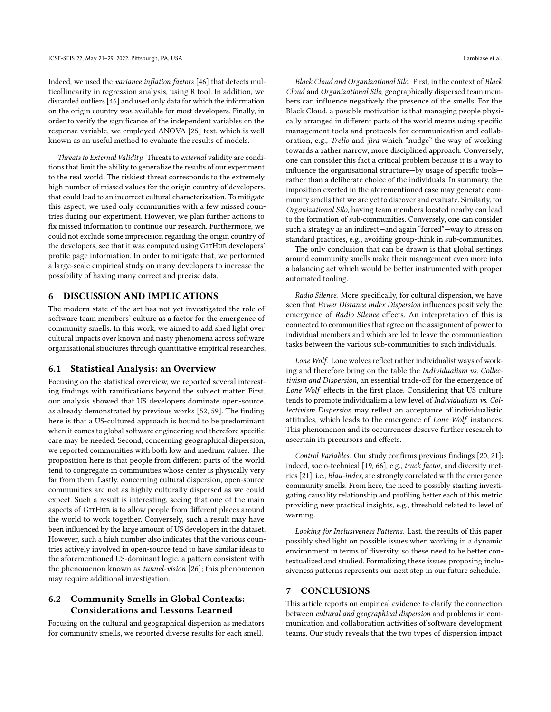Indeed, we used the variance inflation factors [\[46\]](#page-11-28) that detects multicollinearity in regression analysis, using R tool. In addition, we discarded outliers [\[46\]](#page-11-28) and used only data for which the information on the origin country was available for most developers. Finally, in order to verify the significance of the independent variables on the response variable, we employed ANOVA [\[25\]](#page-10-34) test, which is well known as an useful method to evaluate the results of models.

Threats to External Validity. Threats to external validity are conditions that limit the ability to generalize the results of our experiment to the real world. The riskiest threat corresponds to the extremely high number of missed values for the origin country of developers, that could lead to an incorrect cultural characterization. To mitigate this aspect, we used only communities with a few missed countries during our experiment. However, we plan further actions to fix missed information to continue our research. Furthermore, we could not exclude some imprecision regarding the origin country of the developers, see that it was computed using GITHUB developers' profile page information. In order to mitigate that, we performed a large-scale empirical study on many developers to increase the possibility of having many correct and precise data.

## 6 DISCUSSION AND IMPLICATIONS

The modern state of the art has not yet investigated the role of software team members' culture as a factor for the emergence of community smells. In this work, we aimed to add shed light over cultural impacts over known and nasty phenomena across software organisational structures through quantitative empirical researches.

#### 6.1 Statistical Analysis: an Overview

Focusing on the statistical overview, we reported several interesting findings with ramifications beyond the subject matter. First, our analysis showed that US developers dominate open-source, as already demonstrated by previous works [\[52,](#page-11-29) [59\]](#page-11-30). The finding here is that a US-cultured approach is bound to be predominant when it comes to global software engineering and therefore specific care may be needed. Second, concerning geographical dispersion, we reported communities with both low and medium values. The proposition here is that people from different parts of the world tend to congregate in communities whose center is physically very far from them. Lastly, concerning cultural dispersion, open-source communities are not as highly culturally dispersed as we could expect. Such a result is interesting, seeing that one of the main aspects of GITHUB is to allow people from different places around the world to work together. Conversely, such a result may have been influenced by the large amount of US developers in the dataset. However, such a high number also indicates that the various countries actively involved in open-source tend to have similar ideas to the aforementioned US-dominant logic, a pattern consistent with the phenomenon known as tunnel-vision [\[26\]](#page-10-38); this phenomenon may require additional investigation.

## 6.2 Community Smells in Global Contexts: Considerations and Lessons Learned

Focusing on the cultural and geographical dispersion as mediators for community smells, we reported diverse results for each smell.

Black Cloud and Organizational Silo. First, in the context of Black Cloud and Organizational Silo, geographically dispersed team members can influence negatively the presence of the smells. For the Black Cloud, a possible motivation is that managing people physically arranged in different parts of the world means using specific management tools and protocols for communication and collaboration, e.g., Trello and Jira which "nudge" the way of working towards a rather narrow, more disciplined approach. Conversely, one can consider this fact a critical problem because it is a way to influence the organisational structure—by usage of specific tools rather than a deliberate choice of the individuals. In summary, the imposition exerted in the aforementioned case may generate community smells that we are yet to discover and evaluate. Similarly, for Organizational Silo, having team members located nearby can lead to the formation of sub-communities. Conversely, one can consider such a strategy as an indirect—and again "forced"—way to stress on standard practices, e.g., avoiding group-think in sub-communities.

The only conclusion that can be drawn is that global settings around community smells make their management even more into a balancing act which would be better instrumented with proper automated tooling.

Radio Silence. More specifically, for cultural dispersion, we have seen that Power Distance Index Dispersion influences positively the emergence of Radio Silence effects. An interpretation of this is connected to communities that agree on the assignment of power to individual members and which are led to leave the communication tasks between the various sub-communities to such individuals.

Lone Wolf. Lone wolves reflect rather individualist ways of working and therefore bring on the table the Individualism vs. Collectivism and Dispersion, an essential trade-off for the emergence of Lone Wolf effects in the first place. Considering that US culture tends to promote individualism a low level of Individualism vs. Collectivism Dispersion may reflect an acceptance of individualistic attitudes, which leads to the emergence of Lone Wolf instances. This phenomenon and its occurrences deserve further research to ascertain its precursors and effects.

Control Variables. Our study confirms previous findings [\[20,](#page-10-26) [21\]](#page-10-6): indeed, socio-technical [\[19,](#page-10-39) [66\]](#page-11-25), e.g., truck factor, and diversity metrics [\[21\]](#page-10-6), i.e., Blau-index, are strongly correlated with the emergence community smells. From here, the need to possibly starting investigating causality relationship and profiling better each of this metric providing new practical insights, e.g., threshold related to level of warning.

Looking for Inclusiveness Patterns. Last, the results of this paper possibly shed light on possible issues when working in a dynamic environment in terms of diversity, so these need to be better contextualized and studied. Formalizing these issues proposing inclusiveness patterns represents our next step in our future schedule.

#### 7 CONCLUSIONS

This article reports on empirical evidence to clarify the connection between cultural and geographical dispersion and problems in communication and collaboration activities of software development teams. Our study reveals that the two types of dispersion impact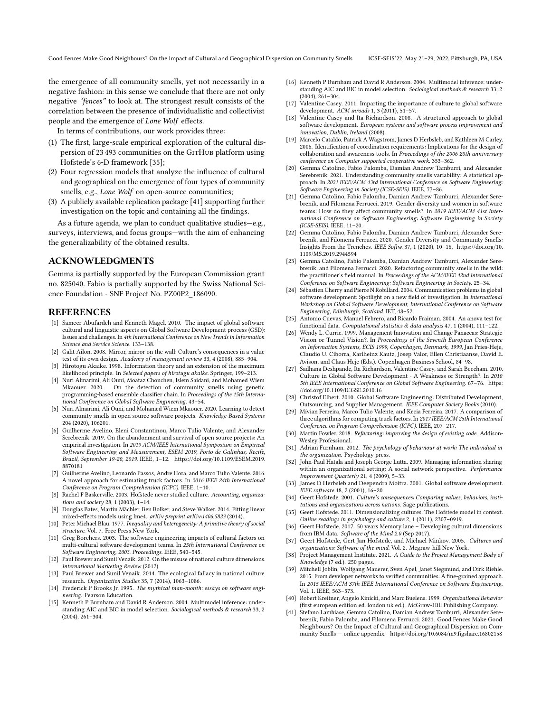the emergence of all community smells, yet not necessarily in a negative fashion: in this sense we conclude that there are not only negative "fences" to look at. The strongest result consists of the correlation between the presence of individualistic and collectivist people and the emergence of Lone Wolf effects.

In terms of contributions, our work provides three:

- (1) The first, large-scale empirical exploration of the cultural dispersion of 23 493 communities on the GITHUB platform using Hofstede's 6-D framework [\[35\]](#page-10-12);
- (2) Four regression models that analyze the influence of cultural and geographical on the emergence of four types of community smells, e.g., Lone Wolf on open-source communities;
- (3) A publicly available replication package [\[41\]](#page-10-40) supporting further investigation on the topic and containing all the findings.

As a future agenda, we plan to conduct qualitative studies—e.g., surveys, interviews, and focus groups—with the aim of enhancing the generalizability of the obtained results.

## ACKNOWLEDGMENTS

Gemma is partially supported by the European Commission grant no. 825040. Fabio is partially supported by the Swiss National Science Foundation - SNF Project No. PZ00P2\_186090.

## REFERENCES

- <span id="page-10-16"></span>[1] Sameer Abufardeh and Kenneth Magel. 2010. The impact of global software cultural and linguistic aspects on Global Software Development process (GSD): Issues and challenges. In 4th International Conference on New Trends in Information Science and Service Science. 133–138.
- <span id="page-10-19"></span>[2] Galit Ailon. 2008. Mirror, mirror on the wall: Culture's consequences in a value test of its own design. Academy of management review 33, 4 (2008), 885–904. [3] Hirotogu Akaike. 1998. Information theory and an extension of the maximum
- <span id="page-10-35"></span>likelihood principle. In Selected papers of hirotugu akaike. Springer, 199–213.
- <span id="page-10-4"></span>[4] Nuri Almarimi, Ali Ouni, Moataz Chouchen, Islem Saidani, and Mohamed Wiem Mkaouer. 2020. On the detection of community smells using genetic programming-based ensemble classifier chain. In Proceedings of the 15th International Conference on Global Software Engineering. 43–54.
- <span id="page-10-5"></span>[5] Nuri Almarimi, Ali Ouni, and Mohamed Wiem Mkaouer. 2020. Learning to detect community smells in open source software projects. Knowledge-Based Systems 204 (2020), 106201.
- <span id="page-10-29"></span>[6] Guilherme Avelino, Eleni Constantinou, Marco Tulio Valente, and Alexander Serebrenik. 2019. On the abandonment and survival of open source projects: An empirical investigation. In 2019 ACM/IEEE International Symposium on Empirical Software Engineering and Measurement, ESEM 2019, Porto de Galinhas, Recife, Brazil, September 19-20, 2019. IEEE, 1–12. [https://doi.org/10.1109/ESEM.2019.](https://doi.org/10.1109/ESEM.2019.8870181) [8870181](https://doi.org/10.1109/ESEM.2019.8870181)
- <span id="page-10-30"></span>[7] Guilherme Avelino, Leonardo Passos, Andre Hora, and Marco Tulio Valente. 2016. A novel approach for estimating truck factors. In 2016 IEEE 24th International Conference on Program Comprehension (ICPC). IEEE, 1–10.
- <span id="page-10-20"></span>[8] Rachel F Baskerville. 2003. Hofstede never studied culture. Accounting, organizations and society 28, 1 (2003), 1–14.
- <span id="page-10-33"></span>[9] Douglas Bates, Martin Mächler, Ben Bolker, and Steve Walker. 2014. Fitting linear mixed-effects models using lme4. arXiv preprint arXiv:1406.5823 (2014).
- <span id="page-10-28"></span>[10] Peter Michael Blau. 1977. Inequality and heterogeneity: A primitive theory of social structure. Vol. 7. Free Press New York.
- <span id="page-10-17"></span>[11] Greg Borchers. 2003. The software engineering impacts of cultural factors on multi-cultural software development teams. In 25th International Conference on Software Engineering, 2003. Proceedings. IEEE, 540–545.
- <span id="page-10-21"></span>[12] Paul Brewer and Sunil Venaik. 2012. On the misuse of national culture dimensions. International Marketing Review (2012).
- <span id="page-10-22"></span>[13] Paul Brewer and Sunil Venaik. 2014. The ecological fallacy in national culture research. Organization Studies 35, 7 (2014), 1063–1086.
- <span id="page-10-0"></span>[14] Frederick P Brooks Jr. 1995. The mythical man-month: essays on software engineering. Pearson Education.
- <span id="page-10-36"></span>[15] Kenneth P Burnham and David R Anderson. 2004. Multimodel inference: understanding AIC and BIC in model selection. Sociological methods & research 33, 2 (2004), 261–304.
- <span id="page-10-37"></span>[16] Kenneth P Burnham and David R Anderson. 2004. Multimodel inference: understanding AIC and BIC in model selection. Sociological methods & research 33, 2 (2004), 261–304.
- <span id="page-10-18"></span>[17] Valentine Casey. 2011. Imparting the importance of culture to global software development. ACM inroads 1, 3 (2011), 51–57.
- <span id="page-10-9"></span>[18] Valentine Casey and Ita Richardson. 2008. A structured approach to global software development. European systems and software process improvement and innovation, Dublin, Ireland (2008).
- <span id="page-10-39"></span>[19] Marcelo Cataldo, Patrick A Wagstrom, James D Herbsleb, and Kathleen M Carley. 2006. Identification of coordination requirements: Implications for the design of collaboration and awareness tools. In Proceedings of the 2006 20th anniversary conference on Computer supported cooperative work. 353–362.
- <span id="page-10-26"></span>[20] Gemma Catolino, Fabio Palomba, Damian Andrew Tamburri, and Alexander Serebrenik. 2021. Understanding community smells variability: A statistical approach. In 2021 IEEE/ACM 43rd International Conference on Software Engineering: Software Engineering in Society (ICSE-SEIS). IEEE, 77–86.
- <span id="page-10-6"></span>[21] Gemma Catolino, Fabio Palomba, Damian Andrew Tamburri, Alexander Serebrenik, and Filomena Ferrucci. 2019. Gender diversity and women in software teams: How do they affect community smells?. In 2019 IEEE/ACM 41st International Conference on Software Engineering: Software Engineering in Society (ICSE-SEIS). IEEE, 11–20.
- <span id="page-10-7"></span>[22] Gemma Catolino, Fabio Palomba, Damian Andrew Tamburri, Alexander Serebrenik, and Filomena Ferrucci. 2020. Gender Diversity and Community Smells: Insights From the Trenches. IEEE Softw. 37, 1 (2020), 10–16. [https://doi.org/10.](https://doi.org/10.1109/MS.2019.2944594) [1109/MS.2019.2944594](https://doi.org/10.1109/MS.2019.2944594)
- <span id="page-10-27"></span>[23] Gemma Catolino, Fabio Palomba, Damian Andrew Tamburri, Alexander Serebrenik, and Filomena Ferrucci. 2020. Refactoring community smells in the wild: the practitioner's field manual. In Proceedings of the ACM/IEEE 42nd International Conference on Software Engineering: Software Engineering in Society. 25–34.
- <span id="page-10-2"></span>[24] Sébastien Cherry and Pierre N Robillard. 2004. Communication problems in global software development: Spotlight on a new field of investigation. In International Workshop on Global Software Development, International Conference on Software Engineering, Edinburgh, Scotland. IET, 48–52.
- <span id="page-10-34"></span>[25] Antonio Cuevas, Manuel Febrero, and Ricardo Fraiman. 2004. An anova test for functional data. Computational statistics & data analysis 47, 1 (2004), 111–122.
- <span id="page-10-38"></span>[26] Wendy L. Currie. 1999. Management Innovation and Change Panaceas: Strategic Vision or Tunnel Vision?. In Proceedings of the Seventh European Conference on Information Systems, ECIS 1999, Copenhagen, Denmark, 1999, Jan Pries-Heje, Claudio U. Ciborra, Karlheinz Kautz, Josep Valor, Ellen Christiaanse, David E. Avison, and Claus Heje (Eds.). Copenhagen Business School, 84–98.
- <span id="page-10-11"></span>[27] Sadhana Deshpande, Ita Richardson, Valentine Casey, and Sarah Beecham. 2010. Culture in Global Software Development - A Weakness or Strength?. In 2010 5th IEEE International Conference on Global Software Engineering. 67–76. [https:](https://doi.org/10.1109/ICGSE.2010.16) [//doi.org/10.1109/ICGSE.2010.16](https://doi.org/10.1109/ICGSE.2010.16)
- <span id="page-10-10"></span>[28] Christof Elbert. 2010. Global Software Engineering: Distributed Development, Outsourcing, and Supplier Management. IEEE Computer Society Books (2010).
- <span id="page-10-31"></span>[29] Mívian Ferreira, Marco Tulio Valente, and Kecia Ferreira. 2017. A comparison of three algorithms for computing truck factors. In 2017 IEEE/ACM 25th International Conference on Program Comprehension (ICPC). IEEE, 207–217.
- <span id="page-10-25"></span>[30] Martin Fowler. 2018. Refactoring: improving the design of existing code. Addison-Wesley Professional.
- <span id="page-10-14"></span>[31] Adrian Furnham. 2012. The psychology of behaviour at work: The individual in the organization. Psychology press.
- <span id="page-10-32"></span>[32] John-Paul Hatala and Joseph George Lutta. 2009. Managing information sharing within an organizational setting: A social network perspective. Performance Improvement Quarterly 21, 4 (2009), 5–33.
- <span id="page-10-3"></span>[33] James D Herbsleb and Deependra Moitra. 2001. Global software development. IEEE software 18, 2 (2001), 16–20.
- <span id="page-10-15"></span>[34] Geert Hofstede. 2001. Culture's consequences: Comparing values, behaviors, institutions and organizations across nations. Sage publications.
- <span id="page-10-12"></span>[35] Geert Hofstede. 2011. Dimensionalizing cultures: The Hofstede model in context. Online readings in psychology and culture 2, 1 (2011), 2307–0919.
- <span id="page-10-23"></span>[36] Geert Hofstede. 2017. 50 years Memory lane – Developing cultural dimensions from IBM data. Software of the Mind 2.0 (Sep 2017).
- <span id="page-10-8"></span>[37] Geert Hofstede, Gert Jan Hofstede, and Michael Minkov. 2005. Cultures and organizations: Software of the mind. Vol. 2. Mcgraw-hill New York.
- <span id="page-10-1"></span>[38] Project Management Institute. 2021. A Guide to the Project Management Body of Knowledge (7 ed.). 250 pages.
- <span id="page-10-24"></span>[39] Mitchell Joblin, Wolfgang Mauerer, Sven Apel, Janet Siegmund, and Dirk Riehle. 2015. From developer networks to verified communities: A fine-grained approach. In 2015 IEEE/ACM 37th IEEE International Conference on Software Engineering, Vol. 1. IEEE, 563–573.
- <span id="page-10-13"></span>[40] Robert Kreitner, Angelo Kinicki, and Marc Buelens. 1999. Organizational Behavior (first european edition ed. london uk ed.). McGraw-Hill Publishing Company.
- <span id="page-10-40"></span>[41] Stefano Lambiase, Gemma Catolino, Damian Andrew Tamburri, Alexander Serebrenik, Fabio Palomba, and Filomena Ferrucci. 2021. Good Fences Make Good Neighbours? On the Impact of Cultural and Geographical Dispersion on Community Smells — online appendix.<https://doi.org/10.6084/m9.figshare.16802158>